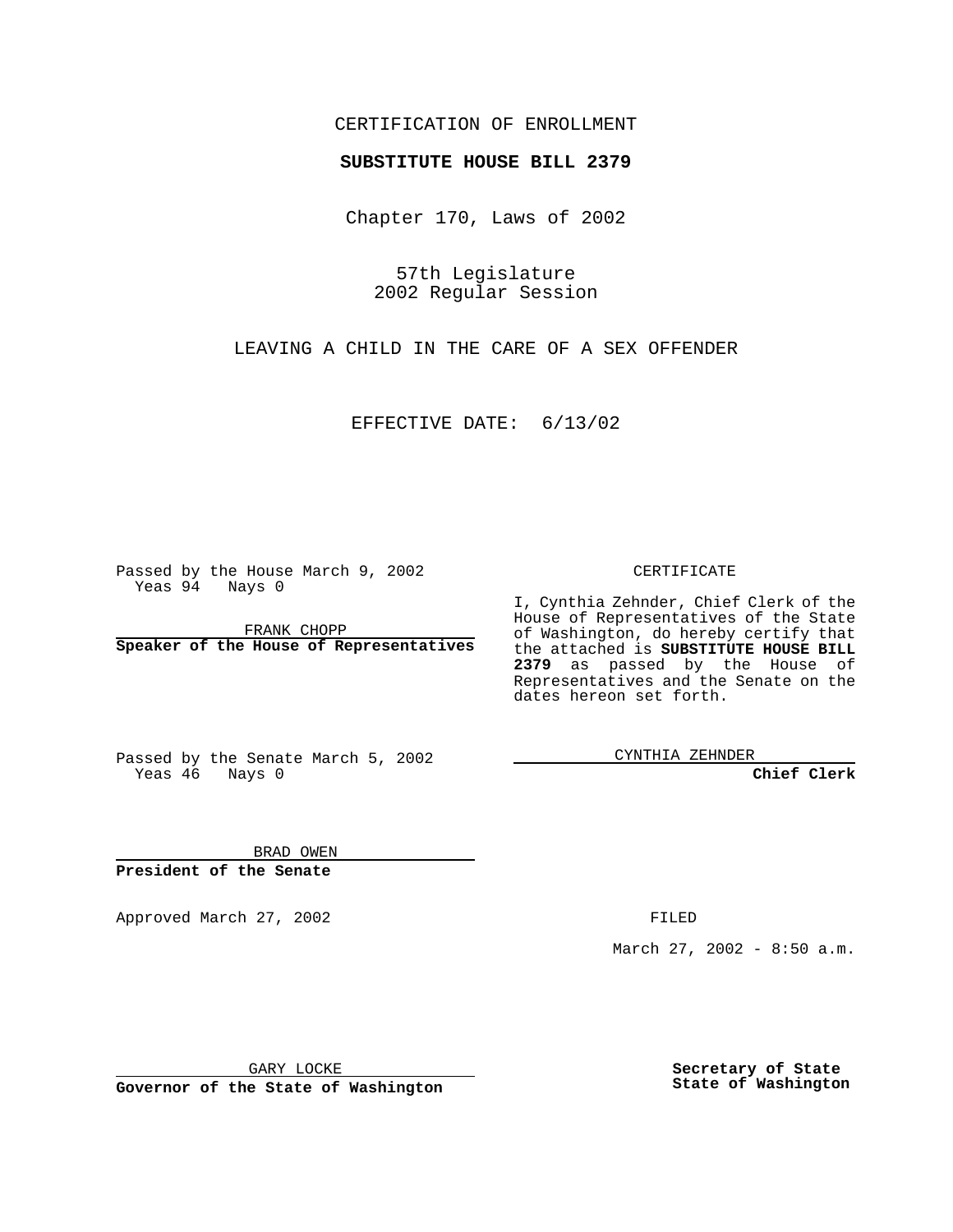## CERTIFICATION OF ENROLLMENT

# **SUBSTITUTE HOUSE BILL 2379**

Chapter 170, Laws of 2002

57th Legislature 2002 Regular Session

LEAVING A CHILD IN THE CARE OF A SEX OFFENDER

EFFECTIVE DATE: 6/13/02

Passed by the House March 9, 2002 Yeas 94 Nays 0

FRANK CHOPP **Speaker of the House of Representatives** CERTIFICATE

I, Cynthia Zehnder, Chief Clerk of the House of Representatives of the State of Washington, do hereby certify that the attached is **SUBSTITUTE HOUSE BILL 2379** as passed by the House of Representatives and the Senate on the dates hereon set forth.

Passed by the Senate March 5, 2002 Yeas 46 Nays 0

CYNTHIA ZEHNDER

**Chief Clerk**

BRAD OWEN **President of the Senate**

Approved March 27, 2002 **FILED** 

March 27, 2002 - 8:50 a.m.

GARY LOCKE

**Governor of the State of Washington**

**Secretary of State State of Washington**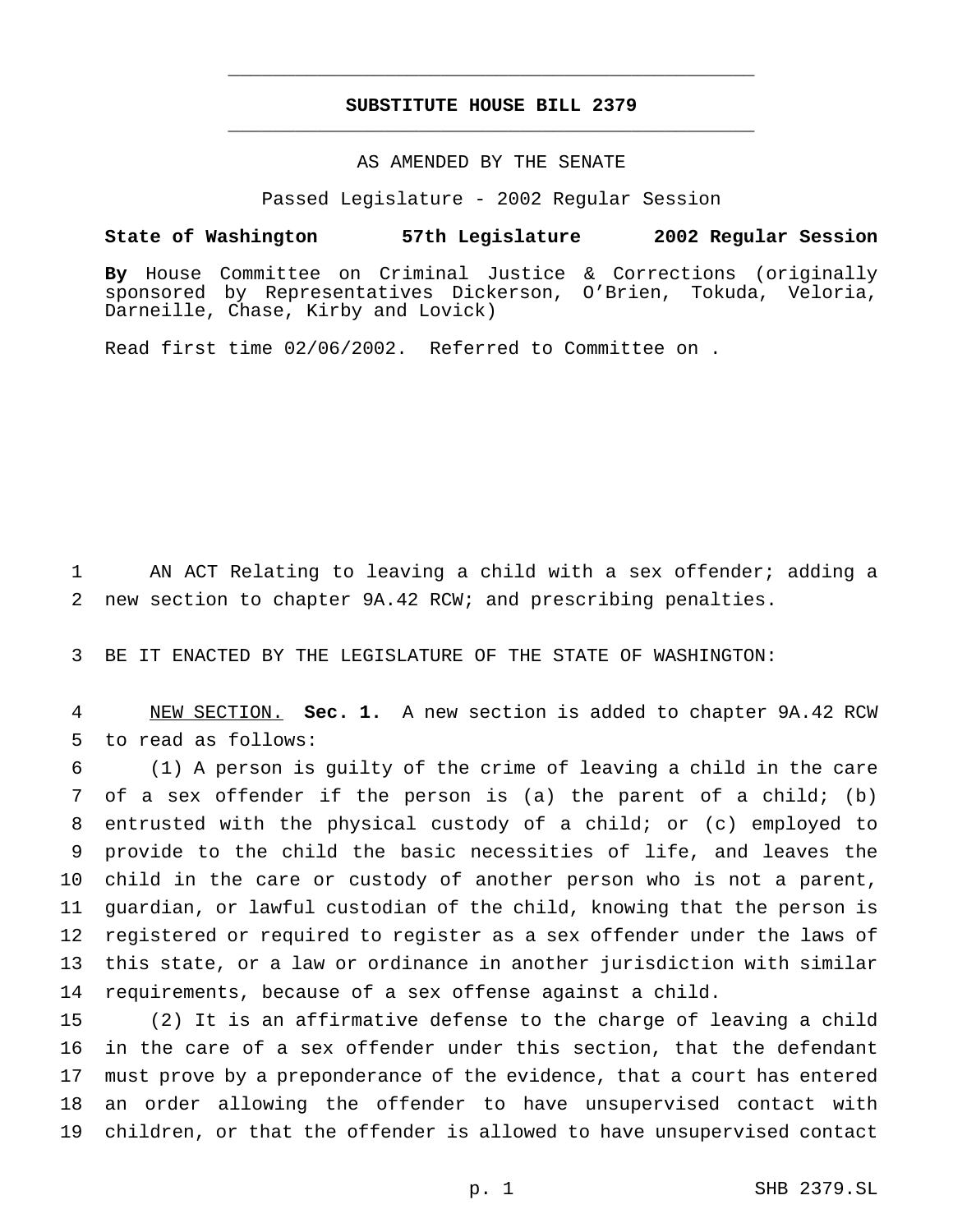## **SUBSTITUTE HOUSE BILL 2379** \_\_\_\_\_\_\_\_\_\_\_\_\_\_\_\_\_\_\_\_\_\_\_\_\_\_\_\_\_\_\_\_\_\_\_\_\_\_\_\_\_\_\_\_\_\_\_

\_\_\_\_\_\_\_\_\_\_\_\_\_\_\_\_\_\_\_\_\_\_\_\_\_\_\_\_\_\_\_\_\_\_\_\_\_\_\_\_\_\_\_\_\_\_\_

### AS AMENDED BY THE SENATE

Passed Legislature - 2002 Regular Session

#### **State of Washington 57th Legislature 2002 Regular Session**

**By** House Committee on Criminal Justice & Corrections (originally sponsored by Representatives Dickerson, O'Brien, Tokuda, Veloria, Darneille, Chase, Kirby and Lovick)

Read first time 02/06/2002. Referred to Committee on .

 AN ACT Relating to leaving a child with a sex offender; adding a new section to chapter 9A.42 RCW; and prescribing penalties.

BE IT ENACTED BY THE LEGISLATURE OF THE STATE OF WASHINGTON:

 NEW SECTION. **Sec. 1.** A new section is added to chapter 9A.42 RCW to read as follows:

 (1) A person is guilty of the crime of leaving a child in the care of a sex offender if the person is (a) the parent of a child; (b) entrusted with the physical custody of a child; or (c) employed to provide to the child the basic necessities of life, and leaves the child in the care or custody of another person who is not a parent, guardian, or lawful custodian of the child, knowing that the person is registered or required to register as a sex offender under the laws of this state, or a law or ordinance in another jurisdiction with similar requirements, because of a sex offense against a child.

 (2) It is an affirmative defense to the charge of leaving a child in the care of a sex offender under this section, that the defendant must prove by a preponderance of the evidence, that a court has entered an order allowing the offender to have unsupervised contact with children, or that the offender is allowed to have unsupervised contact